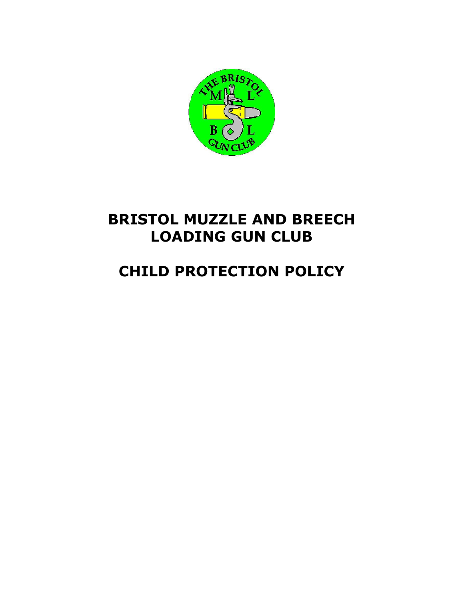

## **BRISTOL MUZZLE AND BREECH LOADING GUN CLUB**

# **CHILD PROTECTION POLICY**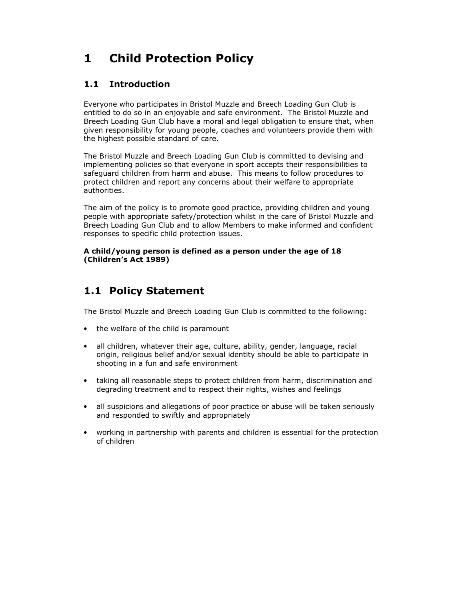## **1 Child Protection Policy**

#### **1.1 Introduction**

Everyone who participates in Bristol Muzzle and Breech Loading Gun Club is entitled to do so in an enjoyable and safe environment. The Bristol Muzzle and Breech Loading Gun Club have a moral and legal obligation to ensure that, when given responsibility for young people, coaches and volunteers provide them with the highest possible standard of care.

The Bristol Muzzle and Breech Loading Gun Club is committed to devising and implementing policies so that everyone in sport accepts their responsibilities to safeguard children from harm and abuse. This means to follow procedures to protect children and report any concerns about their welfare to appropriate authorities.

The aim of the policy is to promote good practice, providing children and young people with appropriate safety/protection whilst in the care of Bristol Muzzle and Breech Loading Gun Club and to allow Members to make informed and confident responses to specific child protection issues.

**A child/young person is defined as a person under the age of 18 (Children's Act 1989)** 

#### **1.1 Policy Statement**

The Bristol Muzzle and Breech Loading Gun Club is committed to the following:

- the welfare of the child is paramount
- all children, whatever their age, culture, ability, gender, language, racial origin, religious belief and/or sexual identity should be able to participate in shooting in a fun and safe environment
- taking all reasonable steps to protect children from harm, discrimination and degrading treatment and to respect their rights, wishes and feelings
- all suspicions and allegations of poor practice or abuse will be taken seriously and responded to swiftly and appropriately
- working in partnership with parents and children is essential for the protection of children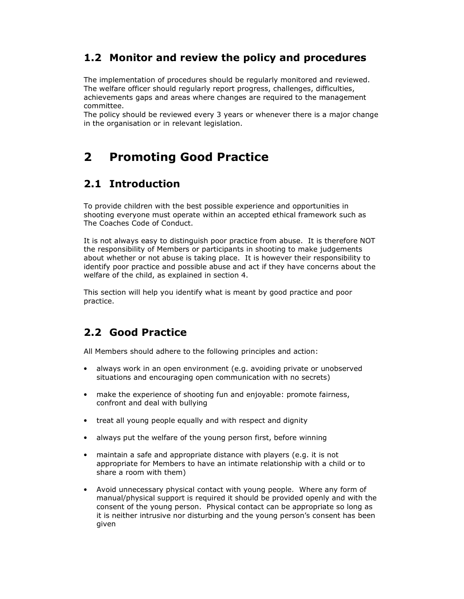### **1.2 Monitor and review the policy and procedures**

The implementation of procedures should be regularly monitored and reviewed. The welfare officer should regularly report progress, challenges, difficulties, achievements gaps and areas where changes are required to the management committee.

The policy should be reviewed every 3 years or whenever there is a major change in the organisation or in relevant legislation.

## **2 Promoting Good Practice**

### **2.1 Introduction**

To provide children with the best possible experience and opportunities in shooting everyone must operate within an accepted ethical framework such as The Coaches Code of Conduct.

It is not always easy to distinguish poor practice from abuse. It is therefore NOT the responsibility of Members or participants in shooting to make judgements about whether or not abuse is taking place. It is however their responsibility to identify poor practice and possible abuse and act if they have concerns about the welfare of the child, as explained in section 4.

This section will help you identify what is meant by good practice and poor practice.

#### **2.2 Good Practice**

All Members should adhere to the following principles and action:

- always work in an open environment (e.g. avoiding private or unobserved situations and encouraging open communication with no secrets)
- make the experience of shooting fun and enjoyable: promote fairness, confront and deal with bullying
- treat all young people equally and with respect and dignity
- always put the welfare of the young person first, before winning
- maintain a safe and appropriate distance with players (e.g. it is not appropriate for Members to have an intimate relationship with a child or to share a room with them)
- Avoid unnecessary physical contact with young people. Where any form of manual/physical support is required it should be provided openly and with the consent of the young person. Physical contact can be appropriate so long as it is neither intrusive nor disturbing and the young person's consent has been given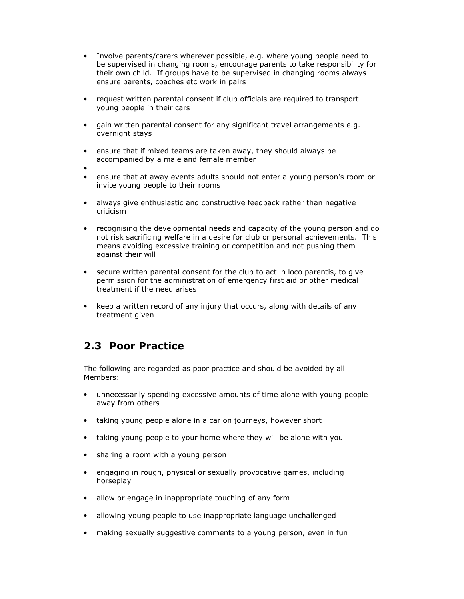- Involve parents/carers wherever possible, e.g. where young people need to be supervised in changing rooms, encourage parents to take responsibility for their own child. If groups have to be supervised in changing rooms always ensure parents, coaches etc work in pairs
- request written parental consent if club officials are required to transport young people in their cars
- gain written parental consent for any significant travel arrangements e.g. overnight stays
- ensure that if mixed teams are taken away, they should always be accompanied by a male and female member
- •
- ensure that at away events adults should not enter a young person's room or invite young people to their rooms
- always give enthusiastic and constructive feedback rather than negative criticism
- recognising the developmental needs and capacity of the young person and do not risk sacrificing welfare in a desire for club or personal achievements. This means avoiding excessive training or competition and not pushing them against their will
- secure written parental consent for the club to act in loco parentis, to give permission for the administration of emergency first aid or other medical treatment if the need arises
- keep a written record of any injury that occurs, along with details of any treatment given

#### **2.3 Poor Practice**

The following are regarded as poor practice and should be avoided by all Members:

- unnecessarily spending excessive amounts of time alone with young people away from others
- taking young people alone in a car on journeys, however short
- taking young people to your home where they will be alone with you
- sharing a room with a young person
- engaging in rough, physical or sexually provocative games, including horseplay
- allow or engage in inappropriate touching of any form
- allowing young people to use inappropriate language unchallenged
- making sexually suggestive comments to a young person, even in fun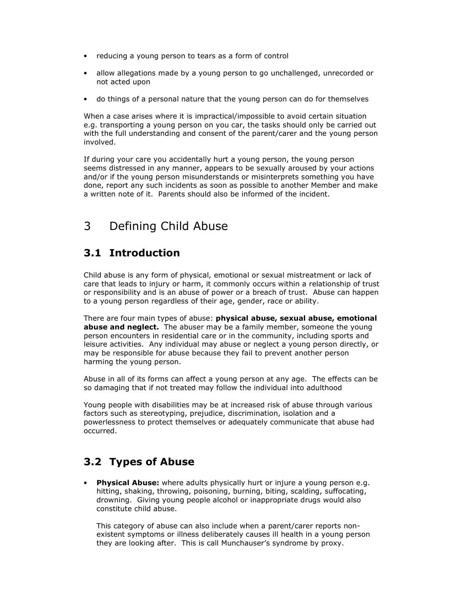- reducing a young person to tears as a form of control
- allow allegations made by a young person to go unchallenged, unrecorded or not acted upon
- do things of a personal nature that the young person can do for themselves

When a case arises where it is impractical/impossible to avoid certain situation e.g. transporting a young person on you car, the tasks should only be carried out with the full understanding and consent of the parent/carer and the young person involved.

If during your care you accidentally hurt a young person, the young person seems distressed in any manner, appears to be sexually aroused by your actions and/or if the young person misunderstands or misinterprets something you have done, report any such incidents as soon as possible to another Member and make a written note of it. Parents should also be informed of the incident.

## 3 Defining Child Abuse

### **3.1 Introduction**

Child abuse is any form of physical, emotional or sexual mistreatment or lack of care that leads to injury or harm, it commonly occurs within a relationship of trust or responsibility and is an abuse of power or a breach of trust. Abuse can happen to a young person regardless of their age, gender, race or ability.

There are four main types of abuse: **physical abuse, sexual abuse, emotional abuse and neglect.** The abuser may be a family member, someone the young person encounters in residential care or in the community, including sports and leisure activities. Any individual may abuse or neglect a young person directly, or may be responsible for abuse because they fail to prevent another person harming the young person.

Abuse in all of its forms can affect a young person at any age. The effects can be so damaging that if not treated may follow the individual into adulthood

Young people with disabilities may be at increased risk of abuse through various factors such as stereotyping, prejudice, discrimination, isolation and a powerlessness to protect themselves or adequately communicate that abuse had occurred.

#### **3.2 Types of Abuse**

• **Physical Abuse:** where adults physically hurt or injure a young person e.g. hitting, shaking, throwing, poisoning, burning, biting, scalding, suffocating, drowning. Giving young people alcohol or inappropriate drugs would also constitute child abuse.

This category of abuse can also include when a parent/carer reports nonexistent symptoms or illness deliberately causes ill health in a young person they are looking after. This is call Munchauser's syndrome by proxy.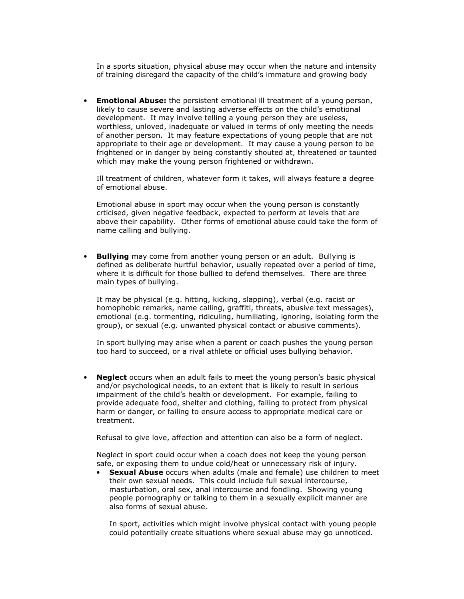In a sports situation, physical abuse may occur when the nature and intensity of training disregard the capacity of the child's immature and growing body

• **Emotional Abuse:** the persistent emotional ill treatment of a young person, likely to cause severe and lasting adverse effects on the child's emotional development. It may involve telling a young person they are useless, worthless, unloved, inadequate or valued in terms of only meeting the needs of another person. It may feature expectations of young people that are not appropriate to their age or development. It may cause a young person to be frightened or in danger by being constantly shouted at, threatened or taunted which may make the young person frightened or withdrawn.

Ill treatment of children, whatever form it takes, will always feature a degree of emotional abuse.

Emotional abuse in sport may occur when the young person is constantly crticised, given negative feedback, expected to perform at levels that are above their capability. Other forms of emotional abuse could take the form of name calling and bullying.

• **Bullying** may come from another young person or an adult. Bullying is defined as deliberate hurtful behavior, usually repeated over a period of time, where it is difficult for those bullied to defend themselves. There are three main types of bullying.

It may be physical (e.g. hitting, kicking, slapping), verbal (e.g. racist or homophobic remarks, name calling, graffiti, threats, abusive text messages), emotional (e.g. tormenting, ridiculing, humiliating, ignoring, isolating form the group), or sexual (e.g. unwanted physical contact or abusive comments).

In sport bullying may arise when a parent or coach pushes the young person too hard to succeed, or a rival athlete or official uses bullying behavior.

• **Neglect** occurs when an adult fails to meet the young person's basic physical and/or psychological needs, to an extent that is likely to result in serious impairment of the child's health or development. For example, failing to provide adequate food, shelter and clothing, failing to protect from physical harm or danger, or failing to ensure access to appropriate medical care or treatment.

Refusal to give love, affection and attention can also be a form of neglect.

Neglect in sport could occur when a coach does not keep the young person safe, or exposing them to undue cold/heat or unnecessary risk of injury.

• **Sexual Abuse** occurs when adults (male and female) use children to meet their own sexual needs. This could include full sexual intercourse, masturbation, oral sex, anal intercourse and fondling. Showing young people pornography or talking to them in a sexually explicit manner are also forms of sexual abuse.

In sport, activities which might involve physical contact with young people could potentially create situations where sexual abuse may go unnoticed.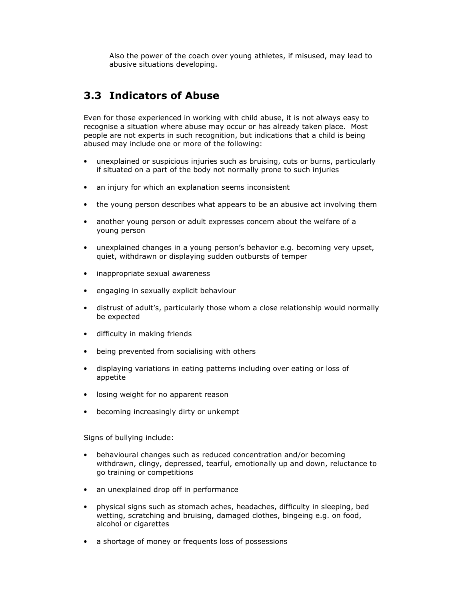Also the power of the coach over young athletes, if misused, may lead to abusive situations developing.

#### **3.3 Indicators of Abuse**

Even for those experienced in working with child abuse, it is not always easy to recognise a situation where abuse may occur or has already taken place. Most people are not experts in such recognition, but indications that a child is being abused may include one or more of the following:

- unexplained or suspicious injuries such as bruising, cuts or burns, particularly if situated on a part of the body not normally prone to such injuries
- an injury for which an explanation seems inconsistent
- the young person describes what appears to be an abusive act involving them
- another young person or adult expresses concern about the welfare of a young person
- unexplained changes in a young person's behavior e.g. becoming very upset, quiet, withdrawn or displaying sudden outbursts of temper
- inappropriate sexual awareness
- engaging in sexually explicit behaviour
- distrust of adult's, particularly those whom a close relationship would normally be expected
- difficulty in making friends
- being prevented from socialising with others
- displaying variations in eating patterns including over eating or loss of appetite
- losing weight for no apparent reason
- becoming increasingly dirty or unkempt

Signs of bullying include:

- behavioural changes such as reduced concentration and/or becoming withdrawn, clingy, depressed, tearful, emotionally up and down, reluctance to go training or competitions
- an unexplained drop off in performance
- physical signs such as stomach aches, headaches, difficulty in sleeping, bed wetting, scratching and bruising, damaged clothes, bingeing e.g. on food, alcohol or cigarettes
- a shortage of money or frequents loss of possessions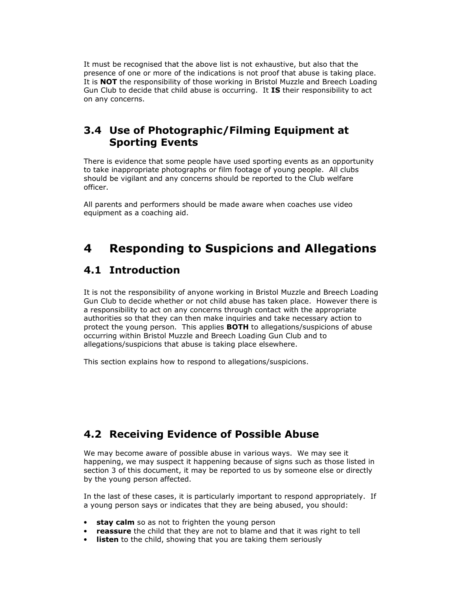It must be recognised that the above list is not exhaustive, but also that the presence of one or more of the indications is not proof that abuse is taking place. It is **NOT** the responsibility of those working in Bristol Muzzle and Breech Loading Gun Club to decide that child abuse is occurring. It **IS** their responsibility to act on any concerns.

#### **3.4 Use of Photographic/Filming Equipment at Sporting Events**

There is evidence that some people have used sporting events as an opportunity to take inappropriate photographs or film footage of young people. All clubs should be vigilant and any concerns should be reported to the Club welfare officer.

All parents and performers should be made aware when coaches use video equipment as a coaching aid.

## **4 Responding to Suspicions and Allegations**

#### **4.1 Introduction**

It is not the responsibility of anyone working in Bristol Muzzle and Breech Loading Gun Club to decide whether or not child abuse has taken place. However there is a responsibility to act on any concerns through contact with the appropriate authorities so that they can then make inquiries and take necessary action to protect the young person. This applies **BOTH** to allegations/suspicions of abuse occurring within Bristol Muzzle and Breech Loading Gun Club and to allegations/suspicions that abuse is taking place elsewhere.

This section explains how to respond to allegations/suspicions.

#### **4.2 Receiving Evidence of Possible Abuse**

We may become aware of possible abuse in various ways. We may see it happening, we may suspect it happening because of signs such as those listed in section 3 of this document, it may be reported to us by someone else or directly by the young person affected.

In the last of these cases, it is particularly important to respond appropriately. If a young person says or indicates that they are being abused, you should:

- **stay calm** so as not to frighten the young person
- **reassure** the child that they are not to blame and that it was right to tell
- **listen** to the child, showing that you are taking them seriously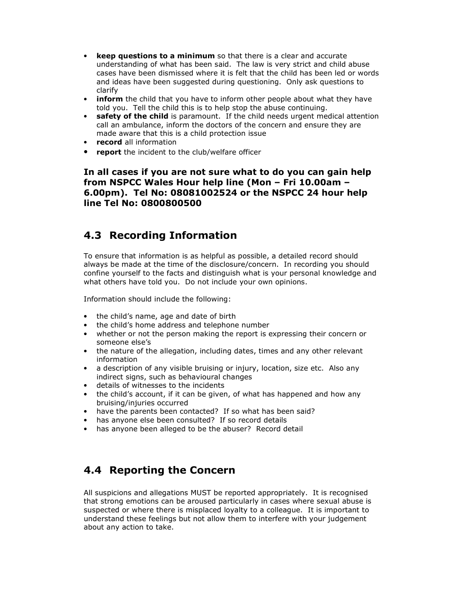- **keep questions to a minimum** so that there is a clear and accurate understanding of what has been said. The law is very strict and child abuse cases have been dismissed where it is felt that the child has been led or words and ideas have been suggested during questioning. Only ask questions to clarify
- **inform** the child that you have to inform other people about what they have told you. Tell the child this is to help stop the abuse continuing.
- **safety of the child** is paramount. If the child needs urgent medical attention call an ambulance, inform the doctors of the concern and ensure they are made aware that this is a child protection issue
- **record** all information
- **report** the incident to the club/welfare officer

**In all cases if you are not sure what to do you can gain help from NSPCC Wales Hour help line (Mon – Fri 10.00am – 6.00pm). Tel No: 08081002524 or the NSPCC 24 hour help line Tel No: 0800800500** 

#### **4.3 Recording Information**

To ensure that information is as helpful as possible, a detailed record should always be made at the time of the disclosure/concern. In recording you should confine yourself to the facts and distinguish what is your personal knowledge and what others have told you. Do not include your own opinions.

Information should include the following:

- the child's name, age and date of birth
- the child's home address and telephone number
- whether or not the person making the report is expressing their concern or someone else's
- the nature of the allegation, including dates, times and any other relevant information
- a description of any visible bruising or injury, location, size etc. Also any indirect signs, such as behavioural changes
- details of witnesses to the incidents
- the child's account, if it can be given, of what has happened and how any bruising/injuries occurred
- have the parents been contacted?If so what has been said?
- has anyone else been consulted? If so record details
- has anyone been alleged to be the abuser? Record detail

#### **4.4 Reporting the Concern**

All suspicions and allegations MUST be reported appropriately. It is recognised that strong emotions can be aroused particularly in cases where sexual abuse is suspected or where there is misplaced loyalty to a colleague. It is important to understand these feelings but not allow them to interfere with your judgement about any action to take.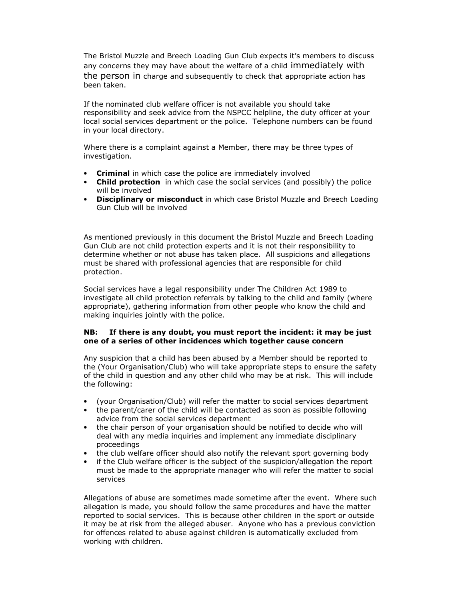The Bristol Muzzle and Breech Loading Gun Club expects it's members to discuss any concerns they may have about the welfare of a child immediately with the person in charge and subsequently to check that appropriate action has been taken.

If the nominated club welfare officer is not available you should take responsibility and seek advice from the NSPCC helpline, the duty officer at your local social services department or the police. Telephone numbers can be found in your local directory.

Where there is a complaint against a Member, there may be three types of investigation.

- **Criminal** in which case the police are immediately involved
- **Child protection** in which case the social services (and possibly) the police will be involved
- **Disciplinary or misconduct** in which case Bristol Muzzle and Breech Loading Gun Club will be involved

As mentioned previously in this document the Bristol Muzzle and Breech Loading Gun Club are not child protection experts and it is not their responsibility to determine whether or not abuse has taken place. All suspicions and allegations must be shared with professional agencies that are responsible for child protection.

Social services have a legal responsibility under The Children Act 1989 to investigate all child protection referrals by talking to the child and family (where appropriate), gathering information from other people who know the child and making inquiries jointly with the police.

#### **NB: If there is any doubt, you must report the incident: it may be just one of a series of other incidences which together cause concern**

Any suspicion that a child has been abused by a Member should be reported to the (Your Organisation/Club) who will take appropriate steps to ensure the safety of the child in question and any other child who may be at risk. This will include the following:

- (your Organisation/Club) will refer the matter to social services department
- the parent/carer of the child will be contacted as soon as possible following advice from the social services department
- the chair person of your organisation should be notified to decide who will deal with any media inquiries and implement any immediate disciplinary proceedings
- the club welfare officer should also notify the relevant sport governing body
- if the Club welfare officer is the subject of the suspicion/allegation the report must be made to the appropriate manager who will refer the matter to social services

Allegations of abuse are sometimes made sometime after the event. Where such allegation is made, you should follow the same procedures and have the matter reported to social services. This is because other children in the sport or outside it may be at risk from the alleged abuser. Anyone who has a previous conviction for offences related to abuse against children is automatically excluded from working with children.